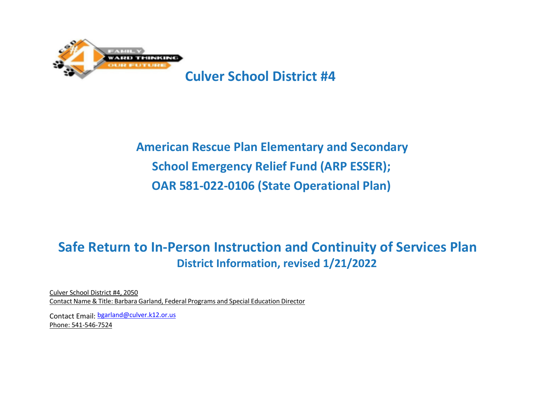

# **American Rescue Plan Elementary and Secondary School Emergency Relief Fund (ARP ESSER); OAR 581-022-0106 (State Operational Plan)**

# **Safe Return to In-Person Instruction and Continuity of Services Plan District Information, revised 1/21/2022**

Culver School District #4, 2050 Contact Name & Title: Barbara Garland, Federal Programs and Special Education Director

Contact Email: [bgarland@culver.k12.or.us](mailto:bgarland@culver.k12.or.us) Phone: 541-546-7524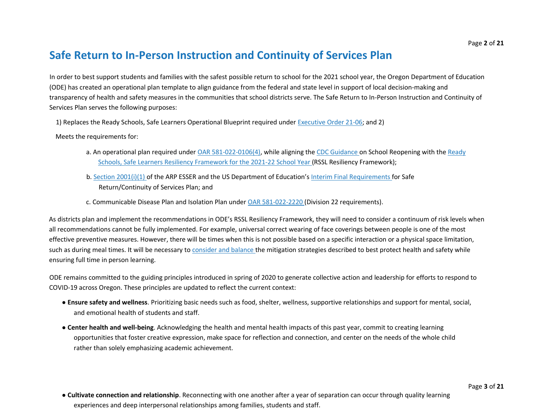# **Safe Return to In-Person Instruction and Continuity of Services Plan**

In order to best support students and families with the safest possible return to school for the 2021 school year, the Oregon Department of Education (ODE) has created an operational plan template to align guidance from the federal and state level in support of local decision-making and transparency of health and safety measures in the communities that school districts serve. The Safe Return to In-Person Instruction and Continuity of Services Plan serves the following purposes:

1) Replaces the Ready Schools, Safe Learners Operational Blueprint required under Executive Order 21-06; and 2)

Meets the requirements for:

- a. An operational plan required under OAR 581-022-0106(4), while aligning the CDC Guidance on School Reopening with the Ready Schools, Safe Learners Resiliency Framework for the 2021-22 School Year (RSSL Resiliency Framework);
- b. Section 2001(i)(1) of the ARP ESSER and the US Department of Education's Interim Final Requirements for Safe Return/Continuity of Services Plan; and
- c. Communicable Disease Plan and Isolation Plan under OAR 581-022-2220 (Division 22 requirements).

As districts plan and implement the recommendations in ODE's RSSL Resiliency Framework, they will need to consider a continuum of risk levels when all recommendations cannot be fully implemented. For example, universal correct wearing of face coverings between people is one of the most effective preventive measures. However, there will be times when this is not possible based on a specific interaction or a physical space limitation, such as during meal times. It will be necessary to consider and balance the mitigation strategies described to best protect health and safety while ensuring full time in person learning.

ODE remains committed to the guiding principles introduced in spring of 2020 to generate collective action and leadership for efforts to respond to COVID-19 across Oregon. These principles are updated to reflect the current context:

- **Ensure safety and wellness**. Prioritizing basic needs such as food, shelter, wellness, supportive relationships and support for mental, social, and emotional health of students and staff.
- **Center health and well-being**. Acknowledging the health and mental health impacts of this past year, commit to creating learning opportunities that foster creative expression, make space for reflection and connection, and center on the needs of the whole child rather than solely emphasizing academic achievement.
- **Cultivate connection and relationship**. Reconnecting with one another after a year of separation can occur through quality learning experiences and deep interpersonal relationships among families, students and staff.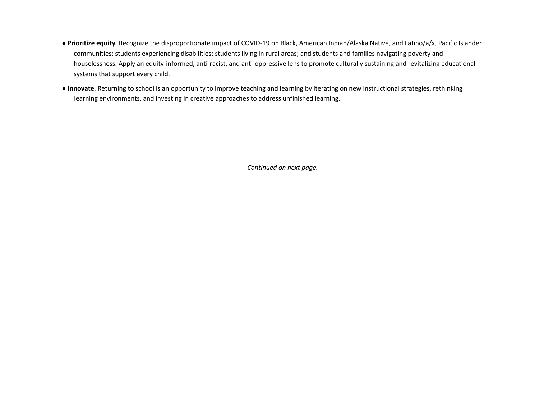- **Prioritize equity**. Recognize the disproportionate impact of COVID-19 on Black, American Indian/Alaska Native, and Latino/a/x, Pacific Islander communities; students experiencing disabilities; students living in rural areas; and students and families navigating poverty and houselessness. Apply an equity-informed, anti-racist, and anti-oppressive lens to promote culturally sustaining and revitalizing educational systems that support every child.
- **Innovate**. Returning to school is an opportunity to improve teaching and learning by iterating on new instructional strategies, rethinking learning environments, and investing in creative approaches to address unfinished learning.

*Continued on next page.*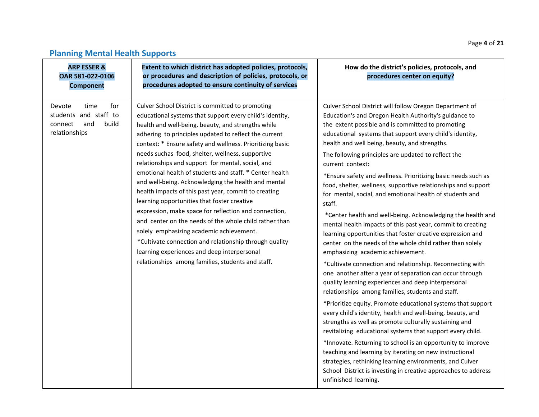## **Planning Mental Health Supports**

| <b>ARP ESSER &amp;</b><br>OAR 581-022-0106<br><b>Component</b>                             | Extent to which district has adopted policies, protocols,<br>or procedures and description of policies, protocols, or<br>procedures adopted to ensure continuity of services                                                                                                                                                                                                                                                                                                                                                                                                                                                                                                                                                                                                                                                                                                                                                                            | How do the district's policies, protocols, and<br>procedures center on equity?                                                                                                                                                                                                                                                                                                                                                                                                                                                                                                                                                                                                                                                                                                                                                                                                                                                                                                                                                                                                                                                                                                                                                                                                                                                                                                                                                                                                                                                                                                                                                                 |
|--------------------------------------------------------------------------------------------|---------------------------------------------------------------------------------------------------------------------------------------------------------------------------------------------------------------------------------------------------------------------------------------------------------------------------------------------------------------------------------------------------------------------------------------------------------------------------------------------------------------------------------------------------------------------------------------------------------------------------------------------------------------------------------------------------------------------------------------------------------------------------------------------------------------------------------------------------------------------------------------------------------------------------------------------------------|------------------------------------------------------------------------------------------------------------------------------------------------------------------------------------------------------------------------------------------------------------------------------------------------------------------------------------------------------------------------------------------------------------------------------------------------------------------------------------------------------------------------------------------------------------------------------------------------------------------------------------------------------------------------------------------------------------------------------------------------------------------------------------------------------------------------------------------------------------------------------------------------------------------------------------------------------------------------------------------------------------------------------------------------------------------------------------------------------------------------------------------------------------------------------------------------------------------------------------------------------------------------------------------------------------------------------------------------------------------------------------------------------------------------------------------------------------------------------------------------------------------------------------------------------------------------------------------------------------------------------------------------|
| for<br>Devote<br>time<br>students and staff to<br>build<br>and<br>connect<br>relationships | Culver School District is committed to promoting<br>educational systems that support every child's identity,<br>health and well-being, beauty, and strengths while<br>adhering to principles updated to reflect the current<br>context: * Ensure safety and wellness. Prioritizing basic<br>needs suchas food, shelter, wellness, supportive<br>relationships and support for mental, social, and<br>emotional health of students and staff. * Center health<br>and well-being. Acknowledging the health and mental<br>health impacts of this past year, commit to creating<br>learning opportunities that foster creative<br>expression, make space for reflection and connection,<br>and center on the needs of the whole child rather than<br>solely emphasizing academic achievement.<br>*Cultivate connection and relationship through quality<br>learning experiences and deep interpersonal<br>relationships among families, students and staff. | Culver School District will follow Oregon Department of<br>Education's and Oregon Health Authority's guidance to<br>the extent possible and is committed to promoting<br>educational systems that support every child's identity,<br>health and well being, beauty, and strengths.<br>The following principles are updated to reflect the<br>current context:<br>*Ensure safety and wellness. Prioritizing basic needs such as<br>food, shelter, wellness, supportive relationships and support<br>for mental, social, and emotional health of students and<br>staff.<br>*Center health and well-being. Acknowledging the health and<br>mental health impacts of this past year, commit to creating<br>learning opportunities that foster creative expression and<br>center on the needs of the whole child rather than solely<br>emphasizing academic achievement.<br>*Cultivate connection and relationship. Reconnecting with<br>one another after a year of separation can occur through<br>quality learning experiences and deep interpersonal<br>relationships among families, students and staff.<br>*Prioritize equity. Promote educational systems that support<br>every child's identity, health and well-being, beauty, and<br>strengths as well as promote culturally sustaining and<br>revitalizing educational systems that support every child.<br>*Innovate. Returning to school is an opportunity to improve<br>teaching and learning by iterating on new instructional<br>strategies, rethinking learning environments, and Culver<br>School District is investing in creative approaches to address<br>unfinished learning. |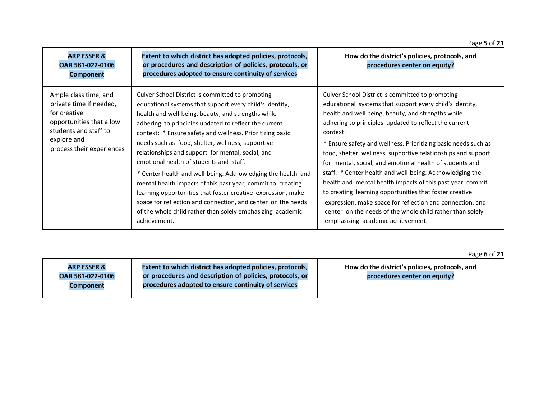| <b>ARP ESSER &amp;</b><br>OAR 581-022-0106<br><b>Component</b>                                                                                                    | Extent to which district has adopted policies, protocols,<br>or procedures and description of policies, protocols, or<br>procedures adopted to ensure continuity of services                                                                                                                                                                                                                                                                                                                                                                                                                                                                                                                                                                                                               | How do the district's policies, protocols, and<br>procedures center on equity?                                                                                                                                                                                                                                                                                                                                                                                                                                                                                                                                                                                                                                                                                                             |
|-------------------------------------------------------------------------------------------------------------------------------------------------------------------|--------------------------------------------------------------------------------------------------------------------------------------------------------------------------------------------------------------------------------------------------------------------------------------------------------------------------------------------------------------------------------------------------------------------------------------------------------------------------------------------------------------------------------------------------------------------------------------------------------------------------------------------------------------------------------------------------------------------------------------------------------------------------------------------|--------------------------------------------------------------------------------------------------------------------------------------------------------------------------------------------------------------------------------------------------------------------------------------------------------------------------------------------------------------------------------------------------------------------------------------------------------------------------------------------------------------------------------------------------------------------------------------------------------------------------------------------------------------------------------------------------------------------------------------------------------------------------------------------|
| Ample class time, and<br>private time if needed,<br>for creative<br>opportunities that allow<br>students and staff to<br>explore and<br>process their experiences | Culver School District is committed to promoting<br>educational systems that support every child's identity,<br>health and well-being, beauty, and strengths while<br>adhering to principles updated to reflect the current<br>context: * Ensure safety and wellness. Prioritizing basic<br>needs such as food, shelter, wellness, supportive<br>relationships and support for mental, social, and<br>emotional health of students and staff.<br>* Center health and well-being. Acknowledging the health and<br>mental health impacts of this past year, commit to creating<br>learning opportunities that foster creative expression, make<br>space for reflection and connection, and center on the needs<br>of the whole child rather than solely emphasizing academic<br>achievement. | Culver School District is committed to promoting<br>educational systems that support every child's identity,<br>health and well being, beauty, and strengths while<br>adhering to principles updated to reflect the current<br>context:<br>* Ensure safety and wellness. Prioritizing basic needs such as<br>food, shelter, wellness, supportive relationships and support<br>for mental, social, and emotional health of students and<br>staff. * Center health and well-being. Acknowledging the<br>health and mental health impacts of this past year, commit<br>to creating learning opportunities that foster creative<br>expression, make space for reflection and connection, and<br>center on the needs of the whole child rather than solely<br>emphasizing academic achievement. |

|                                            |                                                                                                                       | . USC U UI 44                                                                  |
|--------------------------------------------|-----------------------------------------------------------------------------------------------------------------------|--------------------------------------------------------------------------------|
| <b>ARP ESSER &amp;</b><br>OAR 581-022-0106 | Extent to which district has adopted policies, protocols,<br>or procedures and description of policies, protocols, or | How do the district's policies, protocols, and<br>procedures center on equity? |
| Component                                  | procedures adopted to ensure continuity of services                                                                   |                                                                                |
|                                            |                                                                                                                       |                                                                                |

Page **6** of **21**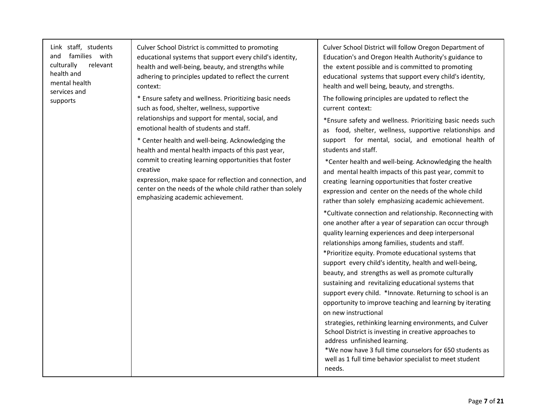Link staff, students and families with culturally relevant health and mental health services and supports

Culver School District is committed to promoting educational systems that support every child's identity, health and well-being, beauty, and strengths while adhering to principles updated to reflect the current context:

\* Ensure safety and wellness. Prioritizing basic needs such as food, shelter, wellness, supportive relationships and support for mental, social, and emotional health of students and staff.

\* Center health and well-being. Acknowledging the health and mental health impacts of this past year, commit to creating learning opportunities that foster creative

expression, make space for reflection and connection, and center on the needs of the whole child rather than solely emphasizing academic achievement.

Culver School District will follow Oregon Department of Education's and Oregon Health Authority's guidance to the extent possible and is committed to promoting educational systems that support every child's identity, health and well being, beauty, and strengths.

The following principles are updated to reflect the current context:

\*Ensure safety and wellness. Prioritizing basic needs such as food, shelter, wellness, supportive relationships and support for mental, social, and emotional health of students and staff.

\*Center health and well-being. Acknowledging the health and mental health impacts of this past year, commit to creating learning opportunities that foster creative expression and center on the needs of the whole child rather than solely emphasizing academic achievement.

\*Cultivate connection and relationship. Reconnecting with one another after a year of separation can occur through quality learning experiences and deep interpersonal relationships among families, students and staff. \*Prioritize equity. Promote educational systems that support every child's identity, health and well-being, beauty, and strengths as well as promote culturally sustaining and revitalizing educational systems that support every child. \*Innovate. Returning to school is an opportunity to improve teaching and learning by iterating on new instructional

strategies, rethinking learning environments, and Culver School District is investing in creative approaches to address unfinished learning.

\*We now have 3 full time counselors for 650 students as well as 1 full time behavior specialist to meet student needs.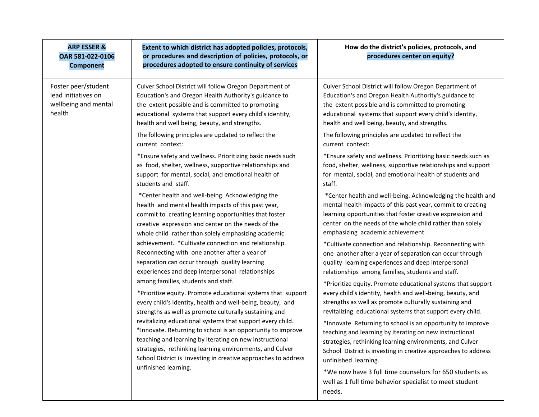| <b>ARP ESSER &amp;</b><br>OAR 581-022-0106<br><b>Component</b>               | Extent to which district has adopted policies, protocols,<br>or procedures and description of policies, protocols, or<br>procedures adopted to ensure continuity of services                                                                                                                                                                                                                                                                                                                                                                                                                                                                                                                                                                                    | How do the district's policies, protocols, and<br>procedures center on equity?                                                                                                                                                                                                             |
|------------------------------------------------------------------------------|-----------------------------------------------------------------------------------------------------------------------------------------------------------------------------------------------------------------------------------------------------------------------------------------------------------------------------------------------------------------------------------------------------------------------------------------------------------------------------------------------------------------------------------------------------------------------------------------------------------------------------------------------------------------------------------------------------------------------------------------------------------------|--------------------------------------------------------------------------------------------------------------------------------------------------------------------------------------------------------------------------------------------------------------------------------------------|
| Foster peer/student<br>lead initiatives on<br>wellbeing and mental<br>health | Culver School District will follow Oregon Department of<br>Education's and Oregon Health Authority's guidance to<br>the extent possible and is committed to promoting<br>educational systems that support every child's identity,<br>health and well being, beauty, and strengths.                                                                                                                                                                                                                                                                                                                                                                                                                                                                              | Culver School District will follow Oregon Department of<br>Education's and Oregon Health Authority's guidance to<br>the extent possible and is committed to promoting<br>educational systems that support every child's identity,<br>health and well being, beauty, and strengths.         |
|                                                                              | The following principles are updated to reflect the<br>current context:                                                                                                                                                                                                                                                                                                                                                                                                                                                                                                                                                                                                                                                                                         | The following principles are updated to reflect the<br>current context:                                                                                                                                                                                                                    |
|                                                                              | *Ensure safety and wellness. Prioritizing basic needs such<br>as food, shelter, wellness, supportive relationships and<br>support for mental, social, and emotional health of<br>students and staff.                                                                                                                                                                                                                                                                                                                                                                                                                                                                                                                                                            | *Ensure safety and wellness. Prioritizing basic needs such as<br>food, shelter, wellness, supportive relationships and support<br>for mental, social, and emotional health of students and<br>staff.                                                                                       |
|                                                                              | *Center health and well-being. Acknowledging the<br>health and mental health impacts of this past year,<br>commit to creating learning opportunities that foster<br>creative expression and center on the needs of the<br>whole child rather than solely emphasizing academic                                                                                                                                                                                                                                                                                                                                                                                                                                                                                   | *Center health and well-being. Acknowledging the health and<br>mental health impacts of this past year, commit to creating<br>learning opportunities that foster creative expression and<br>center on the needs of the whole child rather than solely<br>emphasizing academic achievement. |
|                                                                              | achievement. *Cultivate connection and relationship.<br>Reconnecting with one another after a year of<br>separation can occur through quality learning<br>experiences and deep interpersonal relationships<br>among families, students and staff.<br>*Prioritize equity. Promote educational systems that support<br>every child's identity, health and well-being, beauty, and<br>strengths as well as promote culturally sustaining and<br>revitalizing educational systems that support every child.<br>*Innovate. Returning to school is an opportunity to improve<br>teaching and learning by iterating on new instructional<br>strategies, rethinking learning environments, and Culver<br>School District is investing in creative approaches to address | *Cultivate connection and relationship. Reconnecting with<br>one another after a year of separation can occur through<br>quality learning experiences and deep interpersonal<br>relationships among families, students and staff.                                                          |
|                                                                              |                                                                                                                                                                                                                                                                                                                                                                                                                                                                                                                                                                                                                                                                                                                                                                 | *Prioritize equity. Promote educational systems that support<br>every child's identity, health and well-being, beauty, and<br>strengths as well as promote culturally sustaining and<br>revitalizing educational systems that support every child.                                         |
|                                                                              |                                                                                                                                                                                                                                                                                                                                                                                                                                                                                                                                                                                                                                                                                                                                                                 | *Innovate. Returning to school is an opportunity to improve<br>teaching and learning by iterating on new instructional<br>strategies, rethinking learning environments, and Culver<br>School District is investing in creative approaches to address<br>unfinished learning.               |
|                                                                              | unfinished learning.                                                                                                                                                                                                                                                                                                                                                                                                                                                                                                                                                                                                                                                                                                                                            | *We now have 3 full time counselors for 650 students as<br>well as 1 full time behavior specialist to meet student<br>needs.                                                                                                                                                               |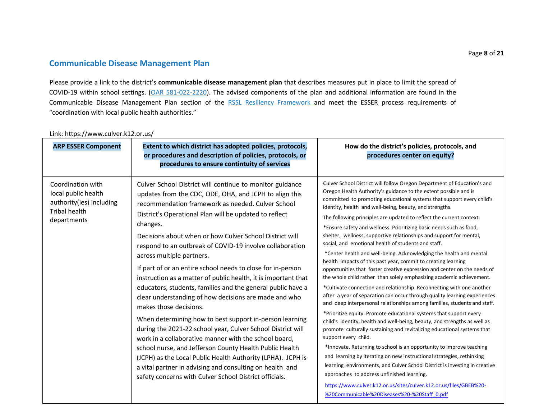### **Communicable Disease Management Plan**

Please provide a link to the district's **communicable disease management plan** that describes measures put in place to limit the spread of COVID-19 within school settings. (OAR 581-022-2220). The advised components of the plan and additional information are found in the Communicable Disease Management Plan section of the RSSL Resiliency Framework and meet the ESSER process requirements of "coordination with local public health authorities."

| <b>ARP ESSER Component</b>                                                                                  | Extent to which district has adopted policies, protocols,<br>or procedures and description of policies, protocols, or<br>procedures to ensure contintuity of services                                                                                                                                                                                                                                                                                                                                                                                                                                                                                                                                                                                                                                                                                                                                                                                                                                                                                                                                                   | How do the district's policies, protocols, and<br>procedures center on equity?                                                                                                                                                                                                                                                                                                                                                                                                                                                                                                                                                                                                                                                                                                                                                                                                                                                                                                                                                                                                                                                                                                                                                                                                                                                                                                                                                                                                                                                                                                                                                                                                                                                                     |
|-------------------------------------------------------------------------------------------------------------|-------------------------------------------------------------------------------------------------------------------------------------------------------------------------------------------------------------------------------------------------------------------------------------------------------------------------------------------------------------------------------------------------------------------------------------------------------------------------------------------------------------------------------------------------------------------------------------------------------------------------------------------------------------------------------------------------------------------------------------------------------------------------------------------------------------------------------------------------------------------------------------------------------------------------------------------------------------------------------------------------------------------------------------------------------------------------------------------------------------------------|----------------------------------------------------------------------------------------------------------------------------------------------------------------------------------------------------------------------------------------------------------------------------------------------------------------------------------------------------------------------------------------------------------------------------------------------------------------------------------------------------------------------------------------------------------------------------------------------------------------------------------------------------------------------------------------------------------------------------------------------------------------------------------------------------------------------------------------------------------------------------------------------------------------------------------------------------------------------------------------------------------------------------------------------------------------------------------------------------------------------------------------------------------------------------------------------------------------------------------------------------------------------------------------------------------------------------------------------------------------------------------------------------------------------------------------------------------------------------------------------------------------------------------------------------------------------------------------------------------------------------------------------------------------------------------------------------------------------------------------------------|
| Coordination with<br>local public health<br>authority(ies) including<br><b>Tribal health</b><br>departments | Culver School District will continue to monitor guidance<br>updates from the CDC, ODE, OHA, and JCPH to align this<br>recommendation framework as needed. Culver School<br>District's Operational Plan will be updated to reflect<br>changes.<br>Decisions about when or how Culver School District will<br>respond to an outbreak of COVID-19 involve collaboration<br>across multiple partners.<br>If part of or an entire school needs to close for in-person<br>instruction as a matter of public health, it is important that<br>educators, students, families and the general public have a<br>clear understanding of how decisions are made and who<br>makes those decisions.<br>When determining how to best support in-person learning<br>during the 2021-22 school year, Culver School District will<br>work in a collaborative manner with the school board,<br>school nurse, and Jefferson County Health Public Health<br>(JCPH) as the Local Public Health Authority (LPHA). JCPH is<br>a vital partner in advising and consulting on health and<br>safety concerns with Culver School District officials. | Culver School District will follow Oregon Department of Education's and<br>Oregon Health Authority's guidance to the extent possible and is<br>committed to promoting educational systems that support every child's<br>identity, health and well-being, beauty, and strengths.<br>The following principles are updated to reflect the current context:<br>*Ensure safety and wellness. Prioritizing basic needs such as food,<br>shelter, wellness, supportive relationships and support for mental,<br>social, and emotional health of students and staff.<br>*Center health and well-being. Acknowledging the health and mental<br>health impacts of this past year, commit to creating learning<br>opportunities that foster creative expression and center on the needs of<br>the whole child rather than solely emphasizing academic achievement.<br>*Cultivate connection and relationship. Reconnecting with one another<br>after a year of separation can occur through quality learning experiences<br>and deep interpersonal relationships among families, students and staff.<br>*Prioritize equity. Promote educational systems that support every<br>child's identity, health and well-being, beauty, and strengths as well as<br>promote culturally sustaining and revitalizing educational systems that<br>support every child.<br>*Innovate. Returning to school is an opportunity to improve teaching<br>and learning by iterating on new instructional strategies, rethinking<br>learning environments, and Culver School District is investing in creative<br>approaches to address unfinished learning.<br>https://www.culver.k12.or.us/sites/culver.k12.or.us/files/GBEB%20-<br>%20Communicable%20Diseases%20-%20Staff 0.pdf |

### Link: https://www.culver.k12.or.us/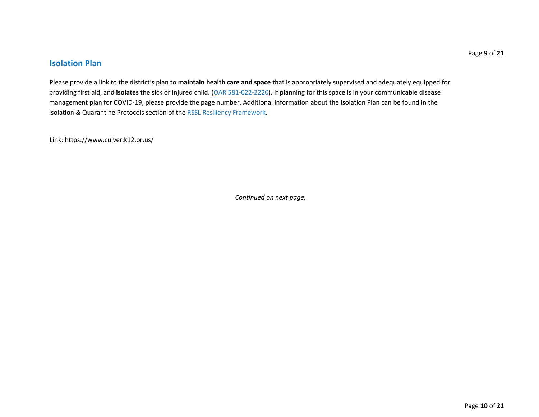### **Isolation Plan**

Please provide a link to the district's plan to **maintain health care and space** that is appropriately supervised and adequately equipped for providing first aid, and **isolates** the sick or injured child. (OAR 581-022-2220). If planning for this space is in your communicable disease management plan for COVID-19, please provide the page number. Additional information about the Isolation Plan can be found in the Isolation & Quarantine Protocols section of the RSSL Resiliency Framework.

Link: https://www.culver.k12.or.us/

*Continued on next page.*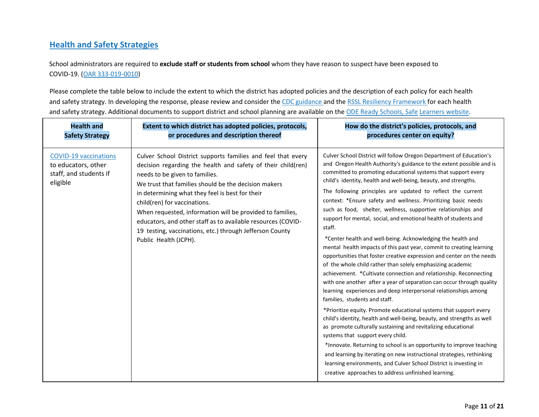### **Health and Safety Strategies**

School administrators are required to **exclude staff or students from school** whom they have reason to suspect have been exposed to COVID-19. (OAR 333-019-0010)

Please complete the table below to include the extent to which the district has adopted policies and the description of each policy for each health and safety strategy. In developing the response, please review and consider the CDC guidance and the RSSL Resiliency Framework for each health and safety strategy. Additional documents to support district and school planning are available on the ODE Ready Schools, Safe Learners website.

| <b>Health and</b>                                                                         | Extent to which district has adopted policies, protocols,                                                                                                                                                                                                                                                                                                                                                                                                                                                                   | How do the district's policies, protocols, and                                                                                                                                                                                                                                                                                                                                                                                                                                                                                                                                                                                                                                                                                                                                                                                                                                                                                                                                                                                                                                                                                                                                                                                                                                                                                                                                                                                                                                                                                                                                                                                      |
|-------------------------------------------------------------------------------------------|-----------------------------------------------------------------------------------------------------------------------------------------------------------------------------------------------------------------------------------------------------------------------------------------------------------------------------------------------------------------------------------------------------------------------------------------------------------------------------------------------------------------------------|-------------------------------------------------------------------------------------------------------------------------------------------------------------------------------------------------------------------------------------------------------------------------------------------------------------------------------------------------------------------------------------------------------------------------------------------------------------------------------------------------------------------------------------------------------------------------------------------------------------------------------------------------------------------------------------------------------------------------------------------------------------------------------------------------------------------------------------------------------------------------------------------------------------------------------------------------------------------------------------------------------------------------------------------------------------------------------------------------------------------------------------------------------------------------------------------------------------------------------------------------------------------------------------------------------------------------------------------------------------------------------------------------------------------------------------------------------------------------------------------------------------------------------------------------------------------------------------------------------------------------------------|
| <b>Safety Strategy</b>                                                                    | or procedures and description thereof                                                                                                                                                                                                                                                                                                                                                                                                                                                                                       | procedures center on equity?                                                                                                                                                                                                                                                                                                                                                                                                                                                                                                                                                                                                                                                                                                                                                                                                                                                                                                                                                                                                                                                                                                                                                                                                                                                                                                                                                                                                                                                                                                                                                                                                        |
| <b>COVID-19 vaccinations</b><br>to educators, other<br>staff, and students if<br>eligible | Culver School District supports families and feel that every<br>decision regarding the health and safety of their child(ren)<br>needs to be given to families.<br>We trust that families should be the decision makers<br>in determining what they feel is best for their<br>child(ren) for vaccinations.<br>When requested, information will be provided to families,<br>educators, and other staff as to available resources (COVID-<br>19 testing, vaccinations, etc.) through Jefferson County<br>Public Health (JCPH). | Culver School District will follow Oregon Department of Education's<br>and Oregon Health Authority's guidance to the extent possible and is<br>committed to promoting educational systems that support every<br>child's identity, health and well-being, beauty, and strengths.<br>The following principles are updated to reflect the current<br>context: *Ensure safety and wellness. Prioritizing basic needs<br>such as food, shelter, wellness, supportive relationships and<br>support for mental, social, and emotional health of students and<br>staff.<br>*Center health and well-being. Acknowledging the health and<br>mental health impacts of this past year, commit to creating learning<br>opportunities that foster creative expression and center on the needs<br>of the whole child rather than solely emphasizing academic<br>achievement. * Cultivate connection and relationship. Reconnecting<br>with one another after a year of separation can occur through quality<br>learning experiences and deep interpersonal relationships among<br>families, students and staff.<br>*Prioritize equity. Promote educational systems that support every<br>child's identity, health and well-being, beauty, and strengths as well<br>as promote culturally sustaining and revitalizing educational<br>systems that support every child.<br>*Innovate. Returning to school is an opportunity to improve teaching<br>and learning by iterating on new instructional strategies, rethinking<br>learning environments, and Culver School District is investing in<br>creative approaches to address unfinished learning. |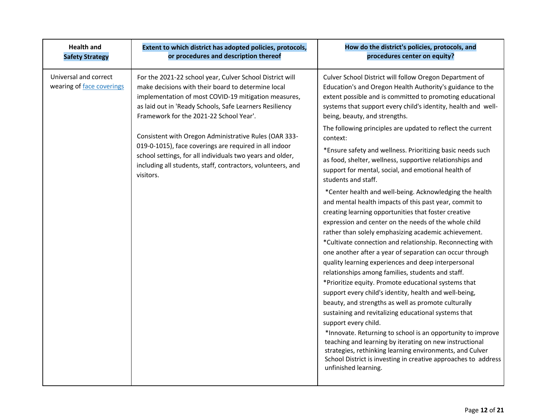| <b>Health and</b><br><b>Safety Strategy</b>        | Extent to which district has adopted policies, protocols,<br>or procedures and description thereof                                                                                                                                                                                                                                                                                                                                                                                                                                       | How do the district's policies, protocols, and<br>procedures center on equity?                                                                                                                                                                                                                                                                                                                                                                                                                                                                                                                                                                                                                                                                                                                                                                                                                                                                                                                                                                                                                                                                                                                                                                                                                                                                                                                                                                                                                                                                           |
|----------------------------------------------------|------------------------------------------------------------------------------------------------------------------------------------------------------------------------------------------------------------------------------------------------------------------------------------------------------------------------------------------------------------------------------------------------------------------------------------------------------------------------------------------------------------------------------------------|----------------------------------------------------------------------------------------------------------------------------------------------------------------------------------------------------------------------------------------------------------------------------------------------------------------------------------------------------------------------------------------------------------------------------------------------------------------------------------------------------------------------------------------------------------------------------------------------------------------------------------------------------------------------------------------------------------------------------------------------------------------------------------------------------------------------------------------------------------------------------------------------------------------------------------------------------------------------------------------------------------------------------------------------------------------------------------------------------------------------------------------------------------------------------------------------------------------------------------------------------------------------------------------------------------------------------------------------------------------------------------------------------------------------------------------------------------------------------------------------------------------------------------------------------------|
| Universal and correct<br>wearing of face coverings | For the 2021-22 school year, Culver School District will<br>make decisions with their board to determine local<br>implementation of most COVID-19 mitigation measures,<br>as laid out in 'Ready Schools, Safe Learners Resiliency<br>Framework for the 2021-22 School Year'.<br>Consistent with Oregon Administrative Rules (OAR 333-<br>019-0-1015), face coverings are required in all indoor<br>school settings, for all individuals two years and older,<br>including all students, staff, contractors, volunteers, and<br>visitors. | Culver School District will follow Oregon Department of<br>Education's and Oregon Health Authority's guidance to the<br>extent possible and is committed to promoting educational<br>systems that support every child's identity, health and well-<br>being, beauty, and strengths.<br>The following principles are updated to reflect the current<br>context:<br>*Ensure safety and wellness. Prioritizing basic needs such<br>as food, shelter, wellness, supportive relationships and<br>support for mental, social, and emotional health of<br>students and staff.<br>*Center health and well-being. Acknowledging the health<br>and mental health impacts of this past year, commit to<br>creating learning opportunities that foster creative<br>expression and center on the needs of the whole child<br>rather than solely emphasizing academic achievement.<br>*Cultivate connection and relationship. Reconnecting with<br>one another after a year of separation can occur through<br>quality learning experiences and deep interpersonal<br>relationships among families, students and staff.<br>*Prioritize equity. Promote educational systems that<br>support every child's identity, health and well-being,<br>beauty, and strengths as well as promote culturally<br>sustaining and revitalizing educational systems that<br>support every child.<br>*Innovate. Returning to school is an opportunity to improve<br>teaching and learning by iterating on new instructional<br>strategies, rethinking learning environments, and Culver |
|                                                    |                                                                                                                                                                                                                                                                                                                                                                                                                                                                                                                                          | School District is investing in creative approaches to address<br>unfinished learning.                                                                                                                                                                                                                                                                                                                                                                                                                                                                                                                                                                                                                                                                                                                                                                                                                                                                                                                                                                                                                                                                                                                                                                                                                                                                                                                                                                                                                                                                   |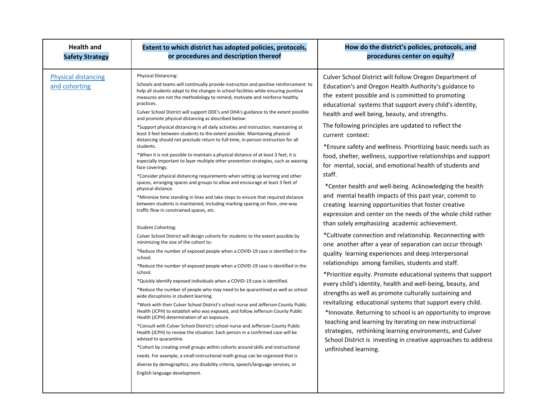| <b>Health and</b>                           | Extent to which district has adopted policies, protocols,                                                                                                                                                                                                                                                                                                                                                                                                                                                                                                                                                                                                                                                                                                                                                                                                                                                                                                                                                                                                                                                                                                                                                                                                                                                                                                                                                                                                                                                                                                                                                                                                                                                                                                                                                                                                                                                                                                                                                                                                                                                                                                                                                                                                                                                                                                                                                                                                                                                                                                                                             | How do the district's policies, protocols, and                                                                                                                                                                                                                                                                                                                                                                                                                                                                                                                                                                                                                                                                                                                                                                                                                                                                                                                                                                                                                                                                                                                                                                                                                                                                                                                                                                                                                                                                                                                                                                                                 |
|---------------------------------------------|-------------------------------------------------------------------------------------------------------------------------------------------------------------------------------------------------------------------------------------------------------------------------------------------------------------------------------------------------------------------------------------------------------------------------------------------------------------------------------------------------------------------------------------------------------------------------------------------------------------------------------------------------------------------------------------------------------------------------------------------------------------------------------------------------------------------------------------------------------------------------------------------------------------------------------------------------------------------------------------------------------------------------------------------------------------------------------------------------------------------------------------------------------------------------------------------------------------------------------------------------------------------------------------------------------------------------------------------------------------------------------------------------------------------------------------------------------------------------------------------------------------------------------------------------------------------------------------------------------------------------------------------------------------------------------------------------------------------------------------------------------------------------------------------------------------------------------------------------------------------------------------------------------------------------------------------------------------------------------------------------------------------------------------------------------------------------------------------------------------------------------------------------------------------------------------------------------------------------------------------------------------------------------------------------------------------------------------------------------------------------------------------------------------------------------------------------------------------------------------------------------------------------------------------------------------------------------------------------------|------------------------------------------------------------------------------------------------------------------------------------------------------------------------------------------------------------------------------------------------------------------------------------------------------------------------------------------------------------------------------------------------------------------------------------------------------------------------------------------------------------------------------------------------------------------------------------------------------------------------------------------------------------------------------------------------------------------------------------------------------------------------------------------------------------------------------------------------------------------------------------------------------------------------------------------------------------------------------------------------------------------------------------------------------------------------------------------------------------------------------------------------------------------------------------------------------------------------------------------------------------------------------------------------------------------------------------------------------------------------------------------------------------------------------------------------------------------------------------------------------------------------------------------------------------------------------------------------------------------------------------------------|
| <b>Safety Strategy</b>                      | or procedures and description thereof                                                                                                                                                                                                                                                                                                                                                                                                                                                                                                                                                                                                                                                                                                                                                                                                                                                                                                                                                                                                                                                                                                                                                                                                                                                                                                                                                                                                                                                                                                                                                                                                                                                                                                                                                                                                                                                                                                                                                                                                                                                                                                                                                                                                                                                                                                                                                                                                                                                                                                                                                                 | procedures center on equity?                                                                                                                                                                                                                                                                                                                                                                                                                                                                                                                                                                                                                                                                                                                                                                                                                                                                                                                                                                                                                                                                                                                                                                                                                                                                                                                                                                                                                                                                                                                                                                                                                   |
| <b>Physical distancing</b><br>and cohorting | Physical Distancing:<br>Schools and teams will continually provide instruction and positive reinforcement to<br>help all students adapt to the changes in school facilities while ensuring punitive<br>measures are not the methodology to remind, motivate and reinforce healthy<br>practices.<br>Culver School District will support ODE's and OHA's guidance to the extent possible<br>and promote physical distancing as described below:<br>*Support physical distancing in all daily activities and instruction, maintaining at<br>least 3 feet between students to the extent possible. Maintaining physical<br>distancing should not preclude return to full-time, in-person instruction for all<br>students.<br>*When it is not possible to maintain a physical distance of at least 3 feet, it is<br>especially important to layer multiple other prevention strategies, such as wearing<br>face coverings.<br>*Consider physical distancing requirements when setting up learning and other<br>spaces, arranging spaces and groups to allow and encourage at least 3 feet of<br>physical distance.<br>*Minimize time standing in lines and take steps to ensure that required distance<br>between students is maintained, including marking spacing on floor, one-way<br>traffic flow in constrained spaces, etc.<br><b>Student Cohorting:</b><br>Culver School District will design cohorts for students to the extent possible by<br>minimizing the size of the cohort to:<br>*Reduce the number of exposed people when a COVID-19 case is identified in the<br>school.<br>*Reduce the number of exposed people when a COVID-19 case is identified in the<br>school.<br>*Quickly identify exposed individuals when a COVID-19 case is identified.<br>*Reduce the number of people who may need to be quarantined as well as school<br>wide disruptions in student learning.<br>*Work with their Culver School District's school nurse and Jefferson County Public<br>Health (JCPH) to establish who was exposed, and follow Jefferson County Public<br>Health (JCPH) determination of an exposure.<br>*Consult with Culver School District's school nurse and Jefferson County Public<br>Health (JCPH) to review the situation. Each person in a confirmed case will be<br>advised to quarantine.<br>*Cohort by creating small groups within cohorts around skills and instructional<br>needs. For example, a small instructional math group can be organized that is<br>diverse by demographics, any disability criteria, speech/language services, or<br>English language development. | Culver School District will follow Oregon Department of<br>Education's and Oregon Health Authority's guidance to<br>the extent possible and is committed to promoting<br>educational systems that support every child's identity,<br>health and well being, beauty, and strengths.<br>The following principles are updated to reflect the<br>current context:<br>*Ensure safety and wellness. Prioritizing basic needs such as<br>food, shelter, wellness, supportive relationships and support<br>for mental, social, and emotional health of students and<br>staff.<br>*Center health and well-being. Acknowledging the health<br>and mental health impacts of this past year, commit to<br>creating learning opportunities that foster creative<br>expression and center on the needs of the whole child rather<br>than solely emphasizing academic achievement.<br>*Cultivate connection and relationship. Reconnecting with<br>one another after a year of separation can occur through<br>quality learning experiences and deep interpersonal<br>relationships among families, students and staff.<br>*Prioritize equity. Promote educational systems that support<br>every child's identity, health and well-being, beauty, and<br>strengths as well as promote culturally sustaining and<br>revitalizing educational systems that support every child.<br>*Innovate. Returning to school is an opportunity to improve<br>teaching and learning by iterating on new instructional<br>strategies, rethinking learning environments, and Culver<br>School District is investing in creative approaches to address<br>unfinished learning. |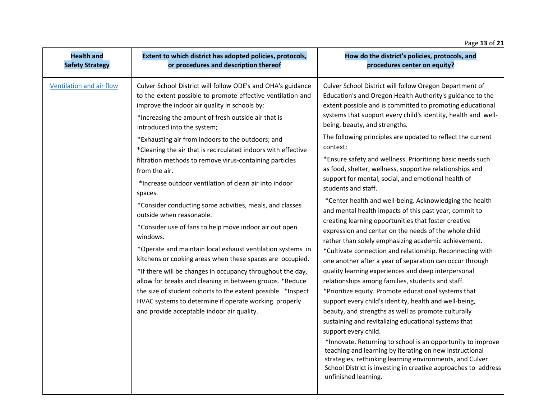### Page **13** of **21**

| <b>Health and</b>        | Extent to which district has adopted policies, protocols,                                                                                                                                                                                                                                                                                                                                                                                                                                                                                                                                                                                                                                                                                                                                                                                                                                                                                                                                                                                                                                                                          | How do the district's policies, protocols, and                                                                                                                                                                                                                                                                                                                                                                                                                                                                                                                                                                                                                                                                                                                                                                                                                                                                                                                                                                                                                                                                                                                                                                                                                                                                                                                                                                                                                                                                                                                                                                                                     |
|--------------------------|------------------------------------------------------------------------------------------------------------------------------------------------------------------------------------------------------------------------------------------------------------------------------------------------------------------------------------------------------------------------------------------------------------------------------------------------------------------------------------------------------------------------------------------------------------------------------------------------------------------------------------------------------------------------------------------------------------------------------------------------------------------------------------------------------------------------------------------------------------------------------------------------------------------------------------------------------------------------------------------------------------------------------------------------------------------------------------------------------------------------------------|----------------------------------------------------------------------------------------------------------------------------------------------------------------------------------------------------------------------------------------------------------------------------------------------------------------------------------------------------------------------------------------------------------------------------------------------------------------------------------------------------------------------------------------------------------------------------------------------------------------------------------------------------------------------------------------------------------------------------------------------------------------------------------------------------------------------------------------------------------------------------------------------------------------------------------------------------------------------------------------------------------------------------------------------------------------------------------------------------------------------------------------------------------------------------------------------------------------------------------------------------------------------------------------------------------------------------------------------------------------------------------------------------------------------------------------------------------------------------------------------------------------------------------------------------------------------------------------------------------------------------------------------------|
| <b>Safety Strategy</b>   | or procedures and description thereof                                                                                                                                                                                                                                                                                                                                                                                                                                                                                                                                                                                                                                                                                                                                                                                                                                                                                                                                                                                                                                                                                              | procedures center on equity?                                                                                                                                                                                                                                                                                                                                                                                                                                                                                                                                                                                                                                                                                                                                                                                                                                                                                                                                                                                                                                                                                                                                                                                                                                                                                                                                                                                                                                                                                                                                                                                                                       |
| Ventilation and air flow | Culver School District will follow ODE's and OHA's guidance<br>to the extent possible to promote effective ventilation and<br>improve the indoor air quality in schools by:<br>*Increasing the amount of fresh outside air that is<br>introduced into the system;<br>*Exhausting air from indoors to the outdoors; and<br>*Cleaning the air that is recirculated indoors with effective<br>filtration methods to remove virus-containing particles<br>from the air.<br>*Increase outdoor ventilation of clean air into indoor<br>spaces.<br>*Consider conducting some activities, meals, and classes<br>outside when reasonable.<br>*Consider use of fans to help move indoor air out open<br>windows.<br>*Operate and maintain local exhaust ventilation systems in<br>kitchens or cooking areas when these spaces are occupied.<br>*If there will be changes in occupancy throughout the day,<br>allow for breaks and cleaning in between groups. *Reduce<br>the size of student cohorts to the extent possible. *Inspect<br>HVAC systems to determine if operate working properly<br>and provide acceptable indoor air quality. | Culver School District will follow Oregon Department of<br>Education's and Oregon Health Authority's guidance to the<br>extent possible and is committed to promoting educational<br>systems that support every child's identity, health and well-<br>being, beauty, and strengths.<br>The following principles are updated to reflect the current<br>context:<br>*Ensure safety and wellness. Prioritizing basic needs such<br>as food, shelter, wellness, supportive relationships and<br>support for mental, social, and emotional health of<br>students and staff.<br>*Center health and well-being. Acknowledging the health<br>and mental health impacts of this past year, commit to<br>creating learning opportunities that foster creative<br>expression and center on the needs of the whole child<br>rather than solely emphasizing academic achievement.<br>*Cultivate connection and relationship. Reconnecting with<br>one another after a year of separation can occur through<br>quality learning experiences and deep interpersonal<br>relationships among families, students and staff.<br>*Prioritize equity. Promote educational systems that<br>support every child's identity, health and well-being,<br>beauty, and strengths as well as promote culturally<br>sustaining and revitalizing educational systems that<br>support every child.<br>*Innovate. Returning to school is an opportunity to improve<br>teaching and learning by iterating on new instructional<br>strategies, rethinking learning environments, and Culver<br>School District is investing in creative approaches to address<br>unfinished learning. |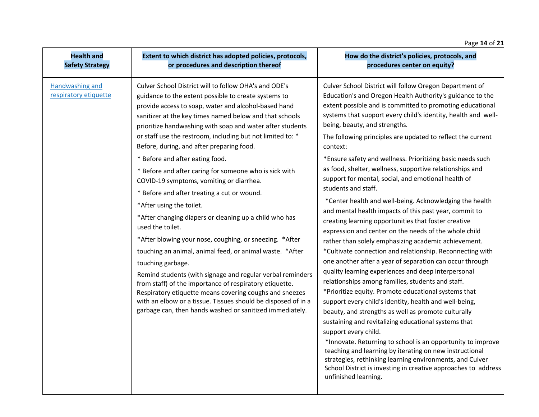#### Page **14** of **21 Health and Safety Strategy Extent to which district has adopted policies, protocols, or procedures and description thereof How do the district's policies, protocols, and procedures center on equity?** Handwashing and respiratory etiquette Culver School District will to follow OHA's and ODE's guidance to the extent possible to create systems to provide access to soap, water and alcohol-based hand sanitizer at the key times named below and that schools prioritize handwashing with soap and water after students or staff use the restroom, including but not limited to: \* Before, during, and after preparing food. \* Before and after eating food. \* Before and after caring for someone who is sick with COVID-19 symptoms, vomiting or diarrhea. \* Before and after treating a cut or wound. \*After using the toilet. \*After changing diapers or cleaning up a child who has used the toilet. \*After blowing your nose, coughing, or sneezing. \*After touching an animal, animal feed, or animal waste. \*After touching garbage. Remind students (with signage and regular verbal reminders from staff) of the importance of respiratory etiquette. Respiratory etiquette means covering coughs and sneezes with an elbow or a tissue. Tissues should be disposed of in a garbage can, then hands washed or sanitized immediately. Culver School District will follow Oregon Department of Education's and Oregon Health Authority's guidance to the extent possible and is committed to promoting educational systems that support every child's identity, health and wellbeing, beauty, and strengths. The following principles are updated to reflect the current context: \*Ensure safety and wellness. Prioritizing basic needs such as food, shelter, wellness, supportive relationships and support for mental, social, and emotional health of students and staff. \*Center health and well-being. Acknowledging the health and mental health impacts of this past year, commit to creating learning opportunities that foster creative expression and center on the needs of the whole child rather than solely emphasizing academic achievement. \*Cultivate connection and relationship. Reconnecting with one another after a year of separation can occur through quality learning experiences and deep interpersonal relationships among families, students and staff. \*Prioritize equity. Promote educational systems that support every child's identity, health and well-being, beauty, and strengths as well as promote culturally sustaining and revitalizing educational systems that support every child. \*Innovate. Returning to school is an opportunity to improve teaching and learning by iterating on new instructional strategies, rethinking learning environments, and Culver School District is investing in creative approaches to address unfinished learning.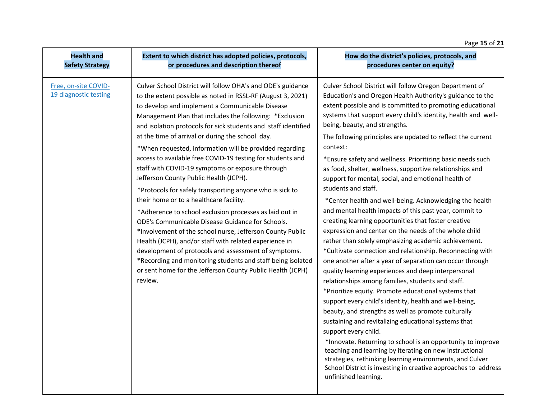### Page **15** of **21**

| <b>Health and</b>                             | Extent to which district has adopted policies, protocols,                                                                                                                                                                                                                                                                                                                                                                                                                                                                                                                                                                                                                                                                                                                                                                                                                                                                                                                                                                                                                                                                          | How do the district's policies, protocols, and                                                                                                                                                                                                                                                                                                                                                                                                                                                                                                                                                                                                                                                                                                                                                                                                                                                                                                                                                                                                                                                                                                                                                                                                                                                                                                                                                                                                                                                                                                                                                                                                     |
|-----------------------------------------------|------------------------------------------------------------------------------------------------------------------------------------------------------------------------------------------------------------------------------------------------------------------------------------------------------------------------------------------------------------------------------------------------------------------------------------------------------------------------------------------------------------------------------------------------------------------------------------------------------------------------------------------------------------------------------------------------------------------------------------------------------------------------------------------------------------------------------------------------------------------------------------------------------------------------------------------------------------------------------------------------------------------------------------------------------------------------------------------------------------------------------------|----------------------------------------------------------------------------------------------------------------------------------------------------------------------------------------------------------------------------------------------------------------------------------------------------------------------------------------------------------------------------------------------------------------------------------------------------------------------------------------------------------------------------------------------------------------------------------------------------------------------------------------------------------------------------------------------------------------------------------------------------------------------------------------------------------------------------------------------------------------------------------------------------------------------------------------------------------------------------------------------------------------------------------------------------------------------------------------------------------------------------------------------------------------------------------------------------------------------------------------------------------------------------------------------------------------------------------------------------------------------------------------------------------------------------------------------------------------------------------------------------------------------------------------------------------------------------------------------------------------------------------------------------|
| <b>Safety Strategy</b>                        | or procedures and description thereof                                                                                                                                                                                                                                                                                                                                                                                                                                                                                                                                                                                                                                                                                                                                                                                                                                                                                                                                                                                                                                                                                              | procedures center on equity?                                                                                                                                                                                                                                                                                                                                                                                                                                                                                                                                                                                                                                                                                                                                                                                                                                                                                                                                                                                                                                                                                                                                                                                                                                                                                                                                                                                                                                                                                                                                                                                                                       |
| Free, on-site COVID-<br>19 diagnostic testing | Culver School District will follow OHA's and ODE's guidance<br>to the extent possible as noted in RSSL-RF (August 3, 2021)<br>to develop and implement a Communicable Disease<br>Management Plan that includes the following: *Exclusion<br>and isolation protocols for sick students and staff identified<br>at the time of arrival or during the school day.<br>*When requested, information will be provided regarding<br>access to available free COVID-19 testing for students and<br>staff with COVID-19 symptoms or exposure through<br>Jefferson County Public Health (JCPH).<br>*Protocols for safely transporting anyone who is sick to<br>their home or to a healthcare facility.<br>*Adherence to school exclusion processes as laid out in<br>ODE's Communicable Disease Guidance for Schools.<br>*Involvement of the school nurse, Jefferson County Public<br>Health (JCPH), and/or staff with related experience in<br>development of protocols and assessment of symptoms.<br>*Recording and monitoring students and staff being isolated<br>or sent home for the Jefferson County Public Health (JCPH)<br>review. | Culver School District will follow Oregon Department of<br>Education's and Oregon Health Authority's guidance to the<br>extent possible and is committed to promoting educational<br>systems that support every child's identity, health and well-<br>being, beauty, and strengths.<br>The following principles are updated to reflect the current<br>context:<br>*Ensure safety and wellness. Prioritizing basic needs such<br>as food, shelter, wellness, supportive relationships and<br>support for mental, social, and emotional health of<br>students and staff.<br>*Center health and well-being. Acknowledging the health<br>and mental health impacts of this past year, commit to<br>creating learning opportunities that foster creative<br>expression and center on the needs of the whole child<br>rather than solely emphasizing academic achievement.<br>*Cultivate connection and relationship. Reconnecting with<br>one another after a year of separation can occur through<br>quality learning experiences and deep interpersonal<br>relationships among families, students and staff.<br>*Prioritize equity. Promote educational systems that<br>support every child's identity, health and well-being,<br>beauty, and strengths as well as promote culturally<br>sustaining and revitalizing educational systems that<br>support every child.<br>*Innovate. Returning to school is an opportunity to improve<br>teaching and learning by iterating on new instructional<br>strategies, rethinking learning environments, and Culver<br>School District is investing in creative approaches to address<br>unfinished learning. |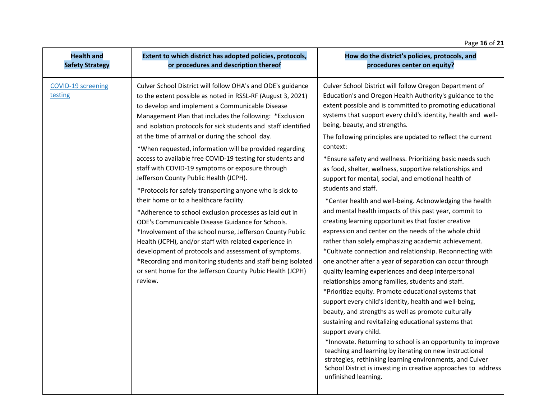### Page **16** of **21**

| <b>Health and</b>                    | Extent to which district has adopted policies, protocols,                                                                                                                                                                                                                                                                                                                                                                                                                                                                                                                                                                                                                                                                                                                                                                                                                                                                                                                                                                                                                                                                         | How do the district's policies, protocols, and                                                                                                                                                                                                                                                                                                                                                                                                                                                                                                                                                                                                                                                                                                                                                                                                                                                                                                                                                                                                                                                                                                                                                                                                                                                                                                                                                                                                                                                                                                                                                                                                     |
|--------------------------------------|-----------------------------------------------------------------------------------------------------------------------------------------------------------------------------------------------------------------------------------------------------------------------------------------------------------------------------------------------------------------------------------------------------------------------------------------------------------------------------------------------------------------------------------------------------------------------------------------------------------------------------------------------------------------------------------------------------------------------------------------------------------------------------------------------------------------------------------------------------------------------------------------------------------------------------------------------------------------------------------------------------------------------------------------------------------------------------------------------------------------------------------|----------------------------------------------------------------------------------------------------------------------------------------------------------------------------------------------------------------------------------------------------------------------------------------------------------------------------------------------------------------------------------------------------------------------------------------------------------------------------------------------------------------------------------------------------------------------------------------------------------------------------------------------------------------------------------------------------------------------------------------------------------------------------------------------------------------------------------------------------------------------------------------------------------------------------------------------------------------------------------------------------------------------------------------------------------------------------------------------------------------------------------------------------------------------------------------------------------------------------------------------------------------------------------------------------------------------------------------------------------------------------------------------------------------------------------------------------------------------------------------------------------------------------------------------------------------------------------------------------------------------------------------------------|
| <b>Safety Strategy</b>               | or procedures and description thereof                                                                                                                                                                                                                                                                                                                                                                                                                                                                                                                                                                                                                                                                                                                                                                                                                                                                                                                                                                                                                                                                                             | procedures center on equity?                                                                                                                                                                                                                                                                                                                                                                                                                                                                                                                                                                                                                                                                                                                                                                                                                                                                                                                                                                                                                                                                                                                                                                                                                                                                                                                                                                                                                                                                                                                                                                                                                       |
| <b>COVID-19 screening</b><br>testing | Culver School District will follow OHA's and ODE's guidance<br>to the extent possible as noted in RSSL-RF (August 3, 2021)<br>to develop and implement a Communicable Disease<br>Management Plan that includes the following: *Exclusion<br>and isolation protocols for sick students and staff identified<br>at the time of arrival or during the school day.<br>*When requested, information will be provided regarding<br>access to available free COVID-19 testing for students and<br>staff with COVID-19 symptoms or exposure through<br>Jefferson County Public Health (JCPH).<br>*Protocols for safely transporting anyone who is sick to<br>their home or to a healthcare facility.<br>*Adherence to school exclusion processes as laid out in<br>ODE's Communicable Disease Guidance for Schools.<br>*Involvement of the school nurse, Jefferson County Public<br>Health (JCPH), and/or staff with related experience in<br>development of protocols and assessment of symptoms.<br>*Recording and monitoring students and staff being isolated<br>or sent home for the Jefferson County Pubic Health (JCPH)<br>review. | Culver School District will follow Oregon Department of<br>Education's and Oregon Health Authority's guidance to the<br>extent possible and is committed to promoting educational<br>systems that support every child's identity, health and well-<br>being, beauty, and strengths.<br>The following principles are updated to reflect the current<br>context:<br>*Ensure safety and wellness. Prioritizing basic needs such<br>as food, shelter, wellness, supportive relationships and<br>support for mental, social, and emotional health of<br>students and staff.<br>*Center health and well-being. Acknowledging the health<br>and mental health impacts of this past year, commit to<br>creating learning opportunities that foster creative<br>expression and center on the needs of the whole child<br>rather than solely emphasizing academic achievement.<br>*Cultivate connection and relationship. Reconnecting with<br>one another after a year of separation can occur through<br>quality learning experiences and deep interpersonal<br>relationships among families, students and staff.<br>*Prioritize equity. Promote educational systems that<br>support every child's identity, health and well-being,<br>beauty, and strengths as well as promote culturally<br>sustaining and revitalizing educational systems that<br>support every child.<br>*Innovate. Returning to school is an opportunity to improve<br>teaching and learning by iterating on new instructional<br>strategies, rethinking learning environments, and Culver<br>School District is investing in creative approaches to address<br>unfinished learning. |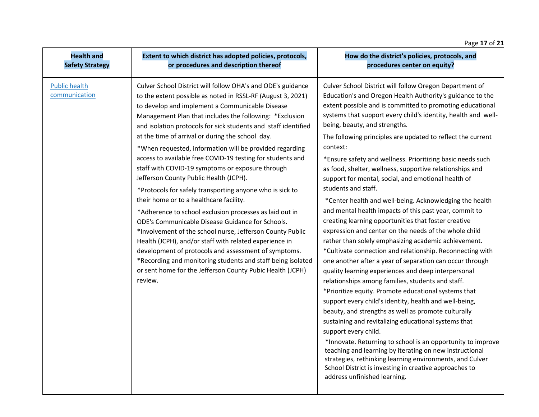### Page **17** of **21**

| <b>Health and</b>                     | Extent to which district has adopted policies, protocols,                                                                                                                                                                                                                                                                                                                                                                                                                                                                                                                                                                                                                                                                                                                                                                                                                                                                                                                                                                                                                                                                         | How do the district's policies, protocols, and                                                                                                                                                                                                                                                                                                                                                                                                                                                                                                                                                                                                                                                                                                                                                                                                                                                                                                                                                                                                                                                                                                                                                                                                                                                                                                                                                                                                                                                                                                                                                                                                     |
|---------------------------------------|-----------------------------------------------------------------------------------------------------------------------------------------------------------------------------------------------------------------------------------------------------------------------------------------------------------------------------------------------------------------------------------------------------------------------------------------------------------------------------------------------------------------------------------------------------------------------------------------------------------------------------------------------------------------------------------------------------------------------------------------------------------------------------------------------------------------------------------------------------------------------------------------------------------------------------------------------------------------------------------------------------------------------------------------------------------------------------------------------------------------------------------|----------------------------------------------------------------------------------------------------------------------------------------------------------------------------------------------------------------------------------------------------------------------------------------------------------------------------------------------------------------------------------------------------------------------------------------------------------------------------------------------------------------------------------------------------------------------------------------------------------------------------------------------------------------------------------------------------------------------------------------------------------------------------------------------------------------------------------------------------------------------------------------------------------------------------------------------------------------------------------------------------------------------------------------------------------------------------------------------------------------------------------------------------------------------------------------------------------------------------------------------------------------------------------------------------------------------------------------------------------------------------------------------------------------------------------------------------------------------------------------------------------------------------------------------------------------------------------------------------------------------------------------------------|
| <b>Safety Strategy</b>                | or procedures and description thereof                                                                                                                                                                                                                                                                                                                                                                                                                                                                                                                                                                                                                                                                                                                                                                                                                                                                                                                                                                                                                                                                                             | procedures center on equity?                                                                                                                                                                                                                                                                                                                                                                                                                                                                                                                                                                                                                                                                                                                                                                                                                                                                                                                                                                                                                                                                                                                                                                                                                                                                                                                                                                                                                                                                                                                                                                                                                       |
| <b>Public health</b><br>communication | Culver School District will follow OHA's and ODE's guidance<br>to the extent possible as noted in RSSL-RF (August 3, 2021)<br>to develop and implement a Communicable Disease<br>Management Plan that includes the following: *Exclusion<br>and isolation protocols for sick students and staff identified<br>at the time of arrival or during the school day.<br>*When requested, information will be provided regarding<br>access to available free COVID-19 testing for students and<br>staff with COVID-19 symptoms or exposure through<br>Jefferson County Public Health (JCPH).<br>*Protocols for safely transporting anyone who is sick to<br>their home or to a healthcare facility.<br>*Adherence to school exclusion processes as laid out in<br>ODE's Communicable Disease Guidance for Schools.<br>*Involvement of the school nurse, Jefferson County Public<br>Health (JCPH), and/or staff with related experience in<br>development of protocols and assessment of symptoms.<br>*Recording and monitoring students and staff being isolated<br>or sent home for the Jefferson County Pubic Health (JCPH)<br>review. | Culver School District will follow Oregon Department of<br>Education's and Oregon Health Authority's guidance to the<br>extent possible and is committed to promoting educational<br>systems that support every child's identity, health and well-<br>being, beauty, and strengths.<br>The following principles are updated to reflect the current<br>context:<br>*Ensure safety and wellness. Prioritizing basic needs such<br>as food, shelter, wellness, supportive relationships and<br>support for mental, social, and emotional health of<br>students and staff.<br>*Center health and well-being. Acknowledging the health<br>and mental health impacts of this past year, commit to<br>creating learning opportunities that foster creative<br>expression and center on the needs of the whole child<br>rather than solely emphasizing academic achievement.<br>*Cultivate connection and relationship. Reconnecting with<br>one another after a year of separation can occur through<br>quality learning experiences and deep interpersonal<br>relationships among families, students and staff.<br>*Prioritize equity. Promote educational systems that<br>support every child's identity, health and well-being,<br>beauty, and strengths as well as promote culturally<br>sustaining and revitalizing educational systems that<br>support every child.<br>*Innovate. Returning to school is an opportunity to improve<br>teaching and learning by iterating on new instructional<br>strategies, rethinking learning environments, and Culver<br>School District is investing in creative approaches to<br>address unfinished learning. |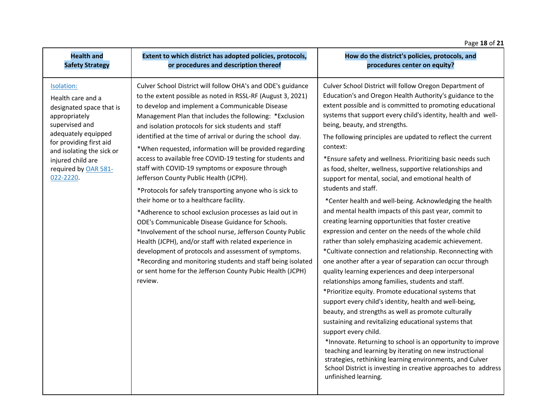### Page **18** of **21**

| <b>Health and</b>                                                                                                                                                                                                                       | Extent to which district has adopted policies, protocols,                                                                                                                                                                                                                                                                                                                                                                                                                                                                                                                                                                                                                                                                                                                                                                                                                                                                                                                                                                                                                                                                         | How do the district's policies, protocols, and                                                                                                                                                                                                                                                                                                                                                                                                                                                                                                                                                                                                                                                                                                                                                                                                                                                                                                                                                                                                                                                                                                                                                                                                                                                                                                                                                                                                                                                                                                                                                                                                     |
|-----------------------------------------------------------------------------------------------------------------------------------------------------------------------------------------------------------------------------------------|-----------------------------------------------------------------------------------------------------------------------------------------------------------------------------------------------------------------------------------------------------------------------------------------------------------------------------------------------------------------------------------------------------------------------------------------------------------------------------------------------------------------------------------------------------------------------------------------------------------------------------------------------------------------------------------------------------------------------------------------------------------------------------------------------------------------------------------------------------------------------------------------------------------------------------------------------------------------------------------------------------------------------------------------------------------------------------------------------------------------------------------|----------------------------------------------------------------------------------------------------------------------------------------------------------------------------------------------------------------------------------------------------------------------------------------------------------------------------------------------------------------------------------------------------------------------------------------------------------------------------------------------------------------------------------------------------------------------------------------------------------------------------------------------------------------------------------------------------------------------------------------------------------------------------------------------------------------------------------------------------------------------------------------------------------------------------------------------------------------------------------------------------------------------------------------------------------------------------------------------------------------------------------------------------------------------------------------------------------------------------------------------------------------------------------------------------------------------------------------------------------------------------------------------------------------------------------------------------------------------------------------------------------------------------------------------------------------------------------------------------------------------------------------------------|
| <b>Safety Strategy</b>                                                                                                                                                                                                                  | or procedures and description thereof                                                                                                                                                                                                                                                                                                                                                                                                                                                                                                                                                                                                                                                                                                                                                                                                                                                                                                                                                                                                                                                                                             | procedures center on equity?                                                                                                                                                                                                                                                                                                                                                                                                                                                                                                                                                                                                                                                                                                                                                                                                                                                                                                                                                                                                                                                                                                                                                                                                                                                                                                                                                                                                                                                                                                                                                                                                                       |
| Isolation:<br>Health care and a<br>designated space that is<br>appropriately<br>supervised and<br>adequately equipped<br>for providing first aid<br>and isolating the sick or<br>injured child are<br>required by OAR 581-<br>022-2220. | Culver School District will follow OHA's and ODE's guidance<br>to the extent possible as noted in RSSL-RF (August 3, 2021)<br>to develop and implement a Communicable Disease<br>Management Plan that includes the following: *Exclusion<br>and isolation protocols for sick students and staff<br>identified at the time of arrival or during the school day.<br>*When requested, information will be provided regarding<br>access to available free COVID-19 testing for students and<br>staff with COVID-19 symptoms or exposure through<br>Jefferson County Public Health (JCPH).<br>*Protocols for safely transporting anyone who is sick to<br>their home or to a healthcare facility.<br>*Adherence to school exclusion processes as laid out in<br>ODE's Communicable Disease Guidance for Schools.<br>*Involvement of the school nurse, Jefferson County Public<br>Health (JCPH), and/or staff with related experience in<br>development of protocols and assessment of symptoms.<br>*Recording and monitoring students and staff being isolated<br>or sent home for the Jefferson County Pubic Health (JCPH)<br>review. | Culver School District will follow Oregon Department of<br>Education's and Oregon Health Authority's guidance to the<br>extent possible and is committed to promoting educational<br>systems that support every child's identity, health and well-<br>being, beauty, and strengths.<br>The following principles are updated to reflect the current<br>context:<br>*Ensure safety and wellness. Prioritizing basic needs such<br>as food, shelter, wellness, supportive relationships and<br>support for mental, social, and emotional health of<br>students and staff.<br>*Center health and well-being. Acknowledging the health<br>and mental health impacts of this past year, commit to<br>creating learning opportunities that foster creative<br>expression and center on the needs of the whole child<br>rather than solely emphasizing academic achievement.<br>*Cultivate connection and relationship. Reconnecting with<br>one another after a year of separation can occur through<br>quality learning experiences and deep interpersonal<br>relationships among families, students and staff.<br>*Prioritize equity. Promote educational systems that<br>support every child's identity, health and well-being,<br>beauty, and strengths as well as promote culturally<br>sustaining and revitalizing educational systems that<br>support every child.<br>*Innovate. Returning to school is an opportunity to improve<br>teaching and learning by iterating on new instructional<br>strategies, rethinking learning environments, and Culver<br>School District is investing in creative approaches to address<br>unfinished learning. |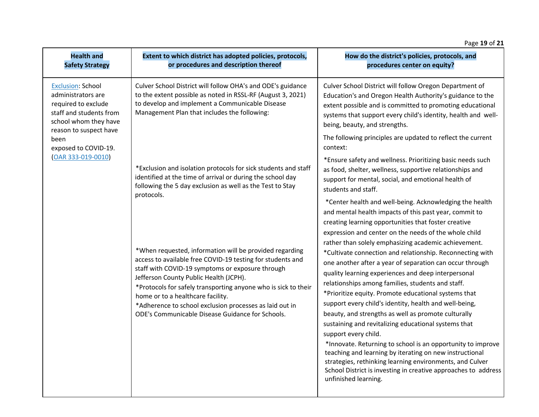### Page **19** of **21**

| <b>Health and</b><br><b>Safety Strategy</b>                                                                                                                                                             | Extent to which district has adopted policies, protocols,<br>or procedures and description thereof                                                                                                                                                                                                                                                                                                                                                      | How do the district's policies, protocols, and<br>procedures center on equity?                                                                                                                                                                                                                                                                                                                                                                                                                                                                                                                                                                                                                                                                                                                                                                                                                                                                                                                                                                                           |
|---------------------------------------------------------------------------------------------------------------------------------------------------------------------------------------------------------|---------------------------------------------------------------------------------------------------------------------------------------------------------------------------------------------------------------------------------------------------------------------------------------------------------------------------------------------------------------------------------------------------------------------------------------------------------|--------------------------------------------------------------------------------------------------------------------------------------------------------------------------------------------------------------------------------------------------------------------------------------------------------------------------------------------------------------------------------------------------------------------------------------------------------------------------------------------------------------------------------------------------------------------------------------------------------------------------------------------------------------------------------------------------------------------------------------------------------------------------------------------------------------------------------------------------------------------------------------------------------------------------------------------------------------------------------------------------------------------------------------------------------------------------|
| <b>Exclusion: School</b><br>administrators are<br>required to exclude<br>staff and students from<br>school whom they have<br>reason to suspect have<br>been<br>exposed to COVID-19.<br>OAR 333-019-0010 | Culver School District will follow OHA's and ODE's guidance<br>to the extent possible as noted in RSSL-RF (August 3, 2021)<br>to develop and implement a Communicable Disease<br>Management Plan that includes the following:                                                                                                                                                                                                                           | Culver School District will follow Oregon Department of<br>Education's and Oregon Health Authority's guidance to the<br>extent possible and is committed to promoting educational<br>systems that support every child's identity, health and well-<br>being, beauty, and strengths.                                                                                                                                                                                                                                                                                                                                                                                                                                                                                                                                                                                                                                                                                                                                                                                      |
|                                                                                                                                                                                                         |                                                                                                                                                                                                                                                                                                                                                                                                                                                         | The following principles are updated to reflect the current<br>context:                                                                                                                                                                                                                                                                                                                                                                                                                                                                                                                                                                                                                                                                                                                                                                                                                                                                                                                                                                                                  |
|                                                                                                                                                                                                         | *Exclusion and isolation protocols for sick students and staff<br>identified at the time of arrival or during the school day<br>following the 5 day exclusion as well as the Test to Stay                                                                                                                                                                                                                                                               | *Ensure safety and wellness. Prioritizing basic needs such<br>as food, shelter, wellness, supportive relationships and<br>support for mental, social, and emotional health of<br>students and staff.                                                                                                                                                                                                                                                                                                                                                                                                                                                                                                                                                                                                                                                                                                                                                                                                                                                                     |
|                                                                                                                                                                                                         | protocols.<br>*When requested, information will be provided regarding<br>access to available free COVID-19 testing for students and<br>staff with COVID-19 symptoms or exposure through<br>Jefferson County Public Health (JCPH).<br>*Protocols for safely transporting anyone who is sick to their<br>home or to a healthcare facility.<br>*Adherence to school exclusion processes as laid out in<br>ODE's Communicable Disease Guidance for Schools. | *Center health and well-being. Acknowledging the health<br>and mental health impacts of this past year, commit to<br>creating learning opportunities that foster creative<br>expression and center on the needs of the whole child<br>rather than solely emphasizing academic achievement.<br>*Cultivate connection and relationship. Reconnecting with<br>one another after a year of separation can occur through<br>quality learning experiences and deep interpersonal<br>relationships among families, students and staff.<br>*Prioritize equity. Promote educational systems that<br>support every child's identity, health and well-being,<br>beauty, and strengths as well as promote culturally<br>sustaining and revitalizing educational systems that<br>support every child.<br>*Innovate. Returning to school is an opportunity to improve<br>teaching and learning by iterating on new instructional<br>strategies, rethinking learning environments, and Culver<br>School District is investing in creative approaches to address<br>unfinished learning. |